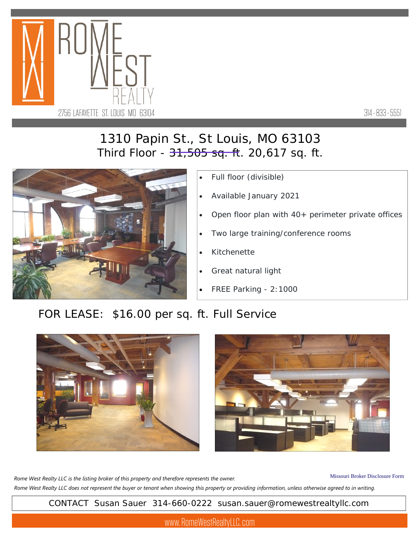

314 - 833 - 5551

## 1310 Papin St., St Louis, MO 63103 Third Floor - <del>31,505 sq. f</del>t. 20,617 sq. ft.



- Full floor (divisible)
- Available January 2021
- Open floor plan with 40+ perimeter private offices
- Two large training/conference rooms
- Kitchenette
- Great natural light
- FREE Parking 2:1000

## FOR LEASE: \$16.00 per sq. ft. Full Service





Missouri Broker Disclosure Form *Rome West Realty LLC does not represent the buyer or tenant when showing this property or providing information, unless otherwise agreed to in writing. Rome West Realty LLC is the listing broker of this property and therefore represents the owner.* 

CONTACT Susan Sauer 314-660-0222 susan.sauer@romewestrealtyllc.com

www. RomeWestRealtyLLC. com